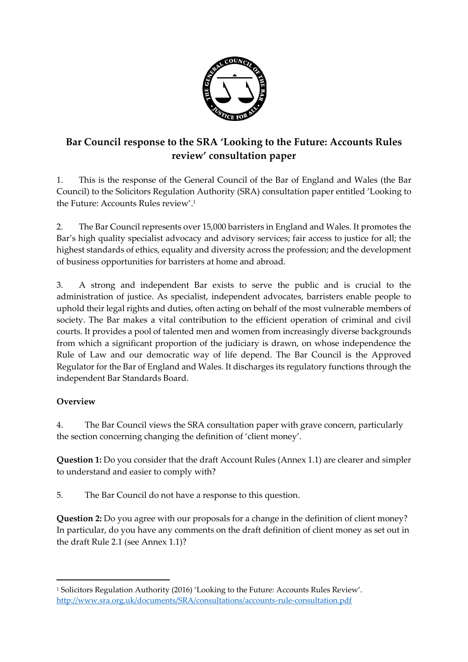

# **Bar Council response to the SRA 'Looking to the Future: Accounts Rules review' consultation paper**

1. This is the response of the General Council of the Bar of England and Wales (the Bar Council) to the Solicitors Regulation Authority (SRA) consultation paper entitled 'Looking to the Future: Accounts Rules review'. 1

2. The Bar Council represents over 15,000 barristers in England and Wales. It promotes the Bar's high quality specialist advocacy and advisory services; fair access to justice for all; the highest standards of ethics, equality and diversity across the profession; and the development of business opportunities for barristers at home and abroad.

3. A strong and independent Bar exists to serve the public and is crucial to the administration of justice. As specialist, independent advocates, barristers enable people to uphold their legal rights and duties, often acting on behalf of the most vulnerable members of society. The Bar makes a vital contribution to the efficient operation of criminal and civil courts. It provides a pool of talented men and women from increasingly diverse backgrounds from which a significant proportion of the judiciary is drawn, on whose independence the Rule of Law and our democratic way of life depend. The Bar Council is the Approved Regulator for the Bar of England and Wales. It discharges its regulatory functions through the independent Bar Standards Board.

## **Overview**

1

4. The Bar Council views the SRA consultation paper with grave concern, particularly the section concerning changing the definition of 'client money'.

**Question 1:** Do you consider that the draft Account Rules (Annex 1.1) are clearer and simpler to understand and easier to comply with?

5. The Bar Council do not have a response to this question.

**Question 2:** Do you agree with our proposals for a change in the definition of client money? In particular, do you have any comments on the draft definition of client money as set out in the draft Rule 2.1 (see Annex 1.1)?

<sup>1</sup> Solicitors Regulation Authority (2016) 'Looking to the Future: Accounts Rules Review'. <http://www.sra.org.uk/documents/SRA/consultations/accounts-rule-consultation.pdf>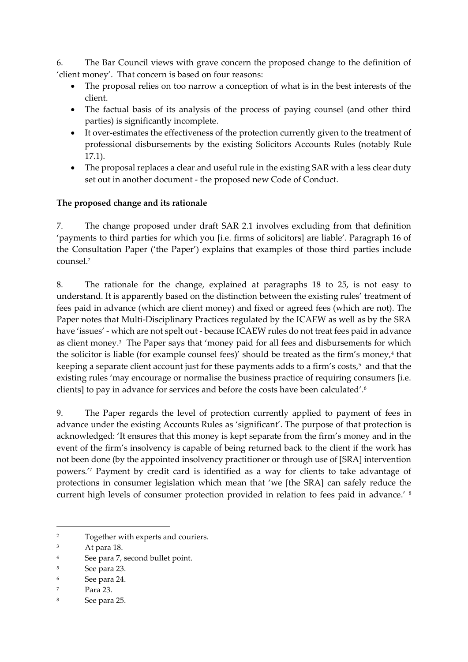6. The Bar Council views with grave concern the proposed change to the definition of 'client money'. That concern is based on four reasons:

- The proposal relies on too narrow a conception of what is in the best interests of the client.
- The factual basis of its analysis of the process of paying counsel (and other third parties) is significantly incomplete.
- It over-estimates the effectiveness of the protection currently given to the treatment of professional disbursements by the existing Solicitors Accounts Rules (notably Rule 17.1).
- The proposal replaces a clear and useful rule in the existing SAR with a less clear duty set out in another document - the proposed new Code of Conduct.

#### **The proposed change and its rationale**

7. The change proposed under draft SAR 2.1 involves excluding from that definition 'payments to third parties for which you [i.e. firms of solicitors] are liable'. Paragraph 16 of the Consultation Paper ('the Paper') explains that examples of those third parties include counsel.<sup>2</sup>

8. The rationale for the change, explained at paragraphs 18 to 25, is not easy to understand. It is apparently based on the distinction between the existing rules' treatment of fees paid in advance (which are client money) and fixed or agreed fees (which are not). The Paper notes that Multi-Disciplinary Practices regulated by the ICAEW as well as by the SRA have 'issues' - which are not spelt out - because ICAEW rules do not treat fees paid in advance as client money.<sup>3</sup> The Paper says that 'money paid for all fees and disbursements for which the solicitor is liable (for example counsel fees)' should be treated as the firm's money,<sup>4</sup> that keeping a separate client account just for these payments adds to a firm's costs, $^5$  and that the existing rules 'may encourage or normalise the business practice of requiring consumers [i.e. clients] to pay in advance for services and before the costs have been calculated'.<sup>6</sup>

9. The Paper regards the level of protection currently applied to payment of fees in advance under the existing Accounts Rules as 'significant'. The purpose of that protection is acknowledged: 'It ensures that this money is kept separate from the firm's money and in the event of the firm's insolvency is capable of being returned back to the client if the work has not been done (by the appointed insolvency practitioner or through use of [SRA] intervention powers.'<sup>7</sup> Payment by credit card is identified as a way for clients to take advantage of protections in consumer legislation which mean that 'we [the SRA] can safely reduce the current high levels of consumer protection provided in relation to fees paid in advance.' <sup>8</sup>

<sup>2</sup> Together with experts and couriers.

<sup>3</sup> At para 18.

<sup>4</sup> See para 7, second bullet point.

<sup>5</sup> See para 23.

<sup>6</sup> See para 24.

<sup>7</sup> Para 23.

<sup>8</sup> See para 25.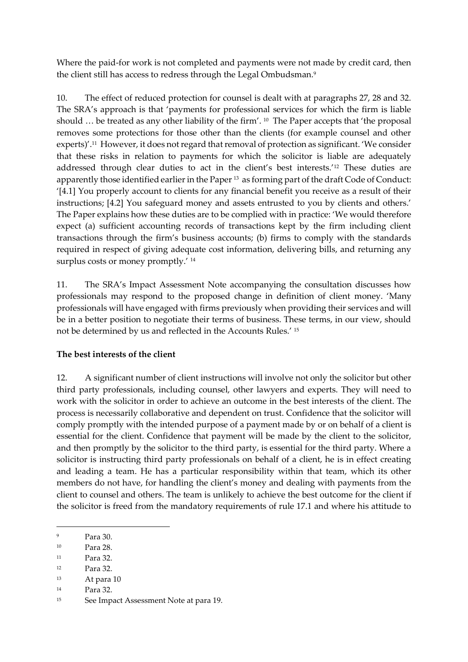Where the paid-for work is not completed and payments were not made by credit card, then the client still has access to redress through the Legal Ombudsman.<sup>9</sup>

10. The effect of reduced protection for counsel is dealt with at paragraphs 27, 28 and 32. The SRA's approach is that 'payments for professional services for which the firm is liable should ... be treated as any other liability of the firm'. <sup>10</sup> The Paper accepts that 'the proposal removes some protections for those other than the clients (for example counsel and other experts)'.<sup>11</sup> However, it does not regard that removal of protection as significant. 'We consider that these risks in relation to payments for which the solicitor is liable are adequately addressed through clear duties to act in the client's best interests.'<sup>12</sup> These duties are apparently those identified earlier in the Paper<sup>13</sup> as forming part of the draft Code of Conduct: '[4.1] You properly account to clients for any financial benefit you receive as a result of their instructions; [4.2] You safeguard money and assets entrusted to you by clients and others.' The Paper explains how these duties are to be complied with in practice: 'We would therefore expect (a) sufficient accounting records of transactions kept by the firm including client transactions through the firm's business accounts; (b) firms to comply with the standards required in respect of giving adequate cost information, delivering bills, and returning any surplus costs or money promptly.' <sup>14</sup>

11. The SRA's Impact Assessment Note accompanying the consultation discusses how professionals may respond to the proposed change in definition of client money. 'Many professionals will have engaged with firms previously when providing their services and will be in a better position to negotiate their terms of business. These terms, in our view, should not be determined by us and reflected in the Accounts Rules.' <sup>15</sup>

## **The best interests of the client**

12. A significant number of client instructions will involve not only the solicitor but other third party professionals, including counsel, other lawyers and experts. They will need to work with the solicitor in order to achieve an outcome in the best interests of the client. The process is necessarily collaborative and dependent on trust. Confidence that the solicitor will comply promptly with the intended purpose of a payment made by or on behalf of a client is essential for the client. Confidence that payment will be made by the client to the solicitor, and then promptly by the solicitor to the third party, is essential for the third party. Where a solicitor is instructing third party professionals on behalf of a client, he is in effect creating and leading a team. He has a particular responsibility within that team, which its other members do not have, for handling the client's money and dealing with payments from the client to counsel and others. The team is unlikely to achieve the best outcome for the client if the solicitor is freed from the mandatory requirements of rule 17.1 and where his attitude to

- <sup>11</sup> Para 32.
- <sup>12</sup> Para 32.
- <sup>13</sup> At para 10
- <sup>14</sup> Para 32.

<sup>9</sup> Para 30.

<sup>10</sup> Para 28.

<sup>15</sup> See Impact Assessment Note at para 19.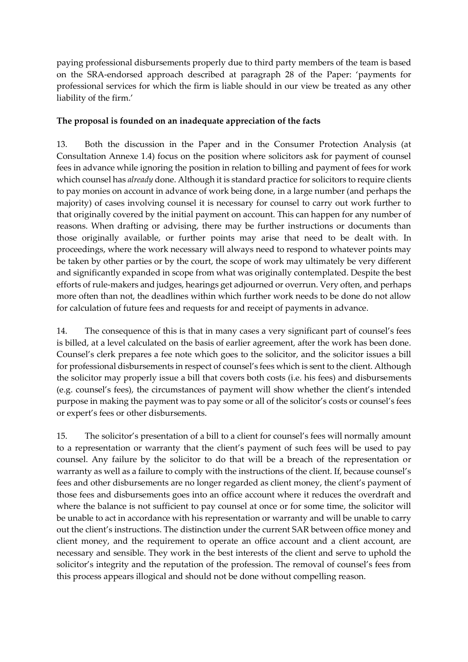paying professional disbursements properly due to third party members of the team is based on the SRA-endorsed approach described at paragraph 28 of the Paper: 'payments for professional services for which the firm is liable should in our view be treated as any other liability of the firm.'

#### **The proposal is founded on an inadequate appreciation of the facts**

13. Both the discussion in the Paper and in the Consumer Protection Analysis (at Consultation Annexe 1.4) focus on the position where solicitors ask for payment of counsel fees in advance while ignoring the position in relation to billing and payment of fees for work which counsel has *already* done. Although it is standard practice for solicitors to require clients to pay monies on account in advance of work being done, in a large number (and perhaps the majority) of cases involving counsel it is necessary for counsel to carry out work further to that originally covered by the initial payment on account. This can happen for any number of reasons. When drafting or advising, there may be further instructions or documents than those originally available, or further points may arise that need to be dealt with. In proceedings, where the work necessary will always need to respond to whatever points may be taken by other parties or by the court, the scope of work may ultimately be very different and significantly expanded in scope from what was originally contemplated. Despite the best efforts of rule-makers and judges, hearings get adjourned or overrun. Very often, and perhaps more often than not, the deadlines within which further work needs to be done do not allow for calculation of future fees and requests for and receipt of payments in advance.

14. The consequence of this is that in many cases a very significant part of counsel's fees is billed, at a level calculated on the basis of earlier agreement, after the work has been done. Counsel's clerk prepares a fee note which goes to the solicitor, and the solicitor issues a bill for professional disbursements in respect of counsel's fees which is sent to the client. Although the solicitor may properly issue a bill that covers both costs (i.e. his fees) and disbursements (e.g. counsel's fees), the circumstances of payment will show whether the client's intended purpose in making the payment was to pay some or all of the solicitor's costs or counsel's fees or expert's fees or other disbursements.

15. The solicitor's presentation of a bill to a client for counsel's fees will normally amount to a representation or warranty that the client's payment of such fees will be used to pay counsel. Any failure by the solicitor to do that will be a breach of the representation or warranty as well as a failure to comply with the instructions of the client. If, because counsel's fees and other disbursements are no longer regarded as client money, the client's payment of those fees and disbursements goes into an office account where it reduces the overdraft and where the balance is not sufficient to pay counsel at once or for some time, the solicitor will be unable to act in accordance with his representation or warranty and will be unable to carry out the client's instructions. The distinction under the current SAR between office money and client money, and the requirement to operate an office account and a client account, are necessary and sensible. They work in the best interests of the client and serve to uphold the solicitor's integrity and the reputation of the profession. The removal of counsel's fees from this process appears illogical and should not be done without compelling reason.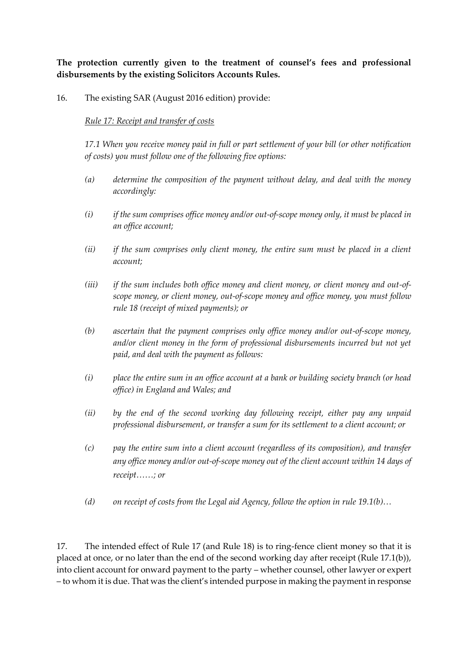**The protection currently given to the treatment of counsel's fees and professional disbursements by the existing Solicitors Accounts Rules.** 

#### 16. The existing SAR (August 2016 edition) provide:

#### *Rule 17: Receipt and transfer of costs*

*17.1 When you receive money paid in full or part settlement of your bill (or other notification of costs) you must follow one of the following five options:*

- *(a) determine the composition of the payment without delay, and deal with the money accordingly:*
- *(i) if the sum comprises office money and/or out-of-scope money only, it must be placed in an office account;*
- *(ii) if the sum comprises only client money, the entire sum must be placed in a client account;*
- *(iii) if the sum includes both office money and client money, or client money and out-ofscope money, or client money, out-of-scope money and office money, you must follow rule 18 (receipt of mixed payments); or*
- *(b) ascertain that the payment comprises only office money and/or out-of-scope money, and/or client money in the form of professional disbursements incurred but not yet paid, and deal with the payment as follows:*
- *(i) place the entire sum in an office account at a bank or building society branch (or head office) in England and Wales; and*
- *(ii) by the end of the second working day following receipt, either pay any unpaid professional disbursement, or transfer a sum for its settlement to a client account; or*
- *(c) pay the entire sum into a client account (regardless of its composition), and transfer any office money and/or out-of-scope money out of the client account within 14 days of receipt……; or*
- *(d) on receipt of costs from the Legal aid Agency, follow the option in rule 19.1(b)…*

17. The intended effect of Rule 17 (and Rule 18) is to ring-fence client money so that it is placed at once, or no later than the end of the second working day after receipt (Rule 17.1(b)), into client account for onward payment to the party – whether counsel, other lawyer or expert – to whom it is due. That was the client's intended purpose in making the payment in response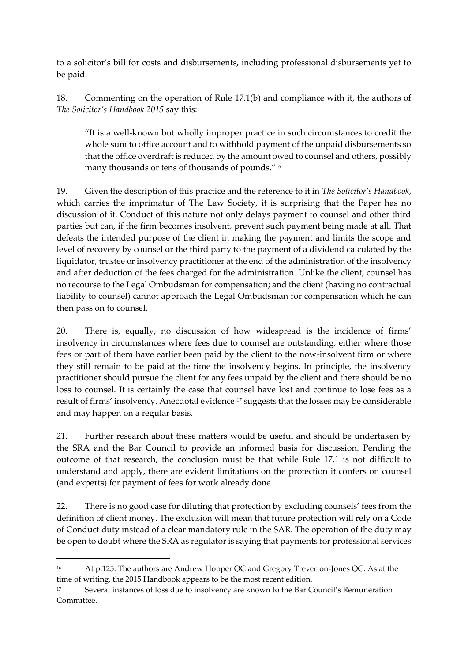to a solicitor's bill for costs and disbursements, including professional disbursements yet to be paid.

18. Commenting on the operation of Rule 17.1(b) and compliance with it, the authors of *The Solicitor's Handbook 2015* say this:

"It is a well-known but wholly improper practice in such circumstances to credit the whole sum to office account and to withhold payment of the unpaid disbursements so that the office overdraft is reduced by the amount owed to counsel and others, possibly many thousands or tens of thousands of pounds." 16

19. Given the description of this practice and the reference to it in *The Solicitor's Handbook*, which carries the imprimatur of The Law Society, it is surprising that the Paper has no discussion of it. Conduct of this nature not only delays payment to counsel and other third parties but can, if the firm becomes insolvent, prevent such payment being made at all. That defeats the intended purpose of the client in making the payment and limits the scope and level of recovery by counsel or the third party to the payment of a dividend calculated by the liquidator, trustee or insolvency practitioner at the end of the administration of the insolvency and after deduction of the fees charged for the administration. Unlike the client, counsel has no recourse to the Legal Ombudsman for compensation; and the client (having no contractual liability to counsel) cannot approach the Legal Ombudsman for compensation which he can then pass on to counsel.

20. There is, equally, no discussion of how widespread is the incidence of firms' insolvency in circumstances where fees due to counsel are outstanding, either where those fees or part of them have earlier been paid by the client to the now-insolvent firm or where they still remain to be paid at the time the insolvency begins. In principle, the insolvency practitioner should pursue the client for any fees unpaid by the client and there should be no loss to counsel. It is certainly the case that counsel have lost and continue to lose fees as a result of firms' insolvency. Anecdotal evidence <sup>17</sup> suggests that the losses may be considerable and may happen on a regular basis.

21. Further research about these matters would be useful and should be undertaken by the SRA and the Bar Council to provide an informed basis for discussion. Pending the outcome of that research, the conclusion must be that while Rule 17.1 is not difficult to understand and apply, there are evident limitations on the protection it confers on counsel (and experts) for payment of fees for work already done.

22. There is no good case for diluting that protection by excluding counsels' fees from the definition of client money. The exclusion will mean that future protection will rely on a Code of Conduct duty instead of a clear mandatory rule in the SAR. The operation of the duty may be open to doubt where the SRA as regulator is saying that payments for professional services

1

<sup>16</sup> At p.125. The authors are Andrew Hopper QC and Gregory Treverton-Jones QC. As at the time of writing, the 2015 Handbook appears to be the most recent edition.

Several instances of loss due to insolvency are known to the Bar Council's Remuneration Committee.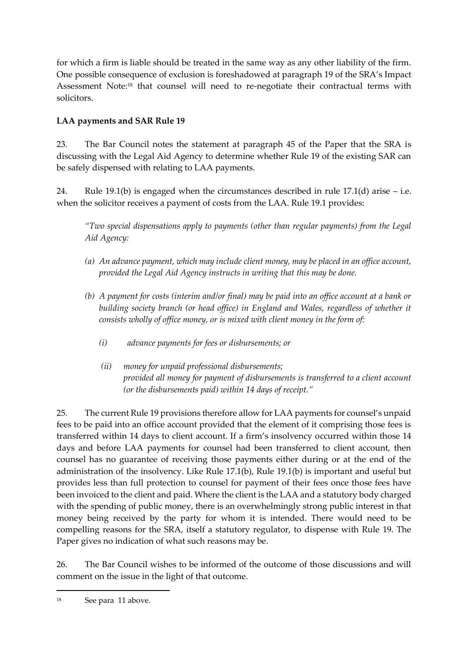for which a firm is liable should be treated in the same way as any other liability of the firm. One possible consequence of exclusion is foreshadowed at paragraph 19 of the SRA's Impact Assessment Note:<sup>18</sup> that counsel will need to re-negotiate their contractual terms with solicitors.

# **LAA payments and SAR Rule 19**

23. The Bar Council notes the statement at paragraph 45 of the Paper that the SRA is discussing with the Legal Aid Agency to determine whether Rule 19 of the existing SAR can be safely dispensed with relating to LAA payments.

24. Rule 19.1(b) is engaged when the circumstances described in rule 17.1(d) arise  $-$  i.e. when the solicitor receives a payment of costs from the LAA. Rule 19.1 provides:

*"Two special dispensations apply to payments (other than regular payments) from the Legal Aid Agency:*

- *(a) An advance payment, which may include client money, may be placed in an office account, provided the Legal Aid Agency instructs in writing that this may be done.*
- *(b) A payment for costs (interim and/or final) may be paid into an office account at a bank or building society branch (or head office) in England and Wales, regardless of whether it consists wholly of office money, or is mixed with client money in the form of:*
	- *(i) advance payments for fees or disbursements; or*
	- *(ii) money for unpaid professional disbursements; provided all money for payment of disbursements is transferred to a client account (or the disbursements paid) within 14 days of receipt."*

25. The current Rule 19 provisions therefore allow for LAA payments for counsel's unpaid fees to be paid into an office account provided that the element of it comprising those fees is transferred within 14 days to client account. If a firm's insolvency occurred within those 14 days and before LAA payments for counsel had been transferred to client account, then counsel has no guarantee of receiving those payments either during or at the end of the administration of the insolvency. Like Rule 17.1(b), Rule 19.1(b) is important and useful but provides less than full protection to counsel for payment of their fees once those fees have been invoiced to the client and paid. Where the client is the LAA and a statutory body charged with the spending of public money, there is an overwhelmingly strong public interest in that money being received by the party for whom it is intended. There would need to be compelling reasons for the SRA, itself a statutory regulator, to dispense with Rule 19. The Paper gives no indication of what such reasons may be.

26. The Bar Council wishes to be informed of the outcome of those discussions and will comment on the issue in the light of that outcome.

<sup>18</sup> See para 11 above.